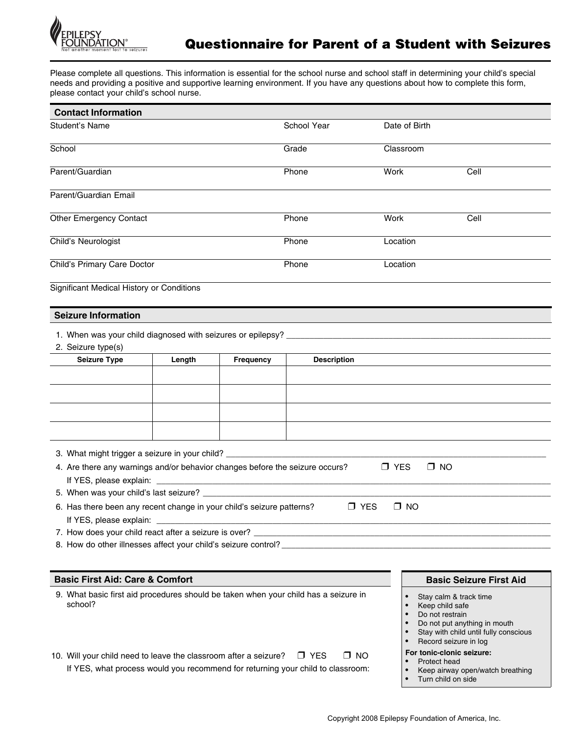

Please complete all questions. This information is essential for the school nurse and school staff in determining your child's special needs and providing a positive and supportive learning environment. If you have any questions about how to complete this form, please contact your child's school nurse.

| <b>Contact Information</b>                                                                                                                                                                                                                                                                         |        |                                                                |                    |                                                                                                                                                                |                                |  |
|----------------------------------------------------------------------------------------------------------------------------------------------------------------------------------------------------------------------------------------------------------------------------------------------------|--------|----------------------------------------------------------------|--------------------|----------------------------------------------------------------------------------------------------------------------------------------------------------------|--------------------------------|--|
| <b>Student's Name</b>                                                                                                                                                                                                                                                                              |        | School Year                                                    | Date of Birth      |                                                                                                                                                                |                                |  |
| School                                                                                                                                                                                                                                                                                             |        |                                                                | Grade              | Classroom                                                                                                                                                      |                                |  |
| Parent/Guardian                                                                                                                                                                                                                                                                                    |        |                                                                | Phone              | Work                                                                                                                                                           | Cell                           |  |
| Parent/Guardian Email                                                                                                                                                                                                                                                                              |        |                                                                |                    |                                                                                                                                                                |                                |  |
| Other Emergency Contact                                                                                                                                                                                                                                                                            |        |                                                                | Phone              | Work                                                                                                                                                           | Cell                           |  |
| Child's Neurologist                                                                                                                                                                                                                                                                                |        |                                                                | Phone              |                                                                                                                                                                | Location                       |  |
| Child's Primary Care Doctor                                                                                                                                                                                                                                                                        |        |                                                                | Phone              |                                                                                                                                                                | Location                       |  |
| Significant Medical History or Conditions                                                                                                                                                                                                                                                          |        |                                                                |                    |                                                                                                                                                                |                                |  |
| <b>Seizure Information</b>                                                                                                                                                                                                                                                                         |        |                                                                |                    |                                                                                                                                                                |                                |  |
| 2. Seizure type(s)                                                                                                                                                                                                                                                                                 |        |                                                                |                    |                                                                                                                                                                |                                |  |
| <b>Seizure Type</b>                                                                                                                                                                                                                                                                                | Length | Frequency                                                      | <b>Description</b> |                                                                                                                                                                |                                |  |
|                                                                                                                                                                                                                                                                                                    |        |                                                                |                    |                                                                                                                                                                |                                |  |
|                                                                                                                                                                                                                                                                                                    |        |                                                                |                    |                                                                                                                                                                |                                |  |
|                                                                                                                                                                                                                                                                                                    |        |                                                                |                    |                                                                                                                                                                |                                |  |
|                                                                                                                                                                                                                                                                                                    |        |                                                                |                    |                                                                                                                                                                |                                |  |
|                                                                                                                                                                                                                                                                                                    |        |                                                                |                    |                                                                                                                                                                |                                |  |
|                                                                                                                                                                                                                                                                                                    |        |                                                                |                    |                                                                                                                                                                |                                |  |
| 3. What might trigger a seizure in your child? _________________________________                                                                                                                                                                                                                   |        |                                                                |                    |                                                                                                                                                                |                                |  |
| 4. Are there any warnings and/or behavior changes before the seizure occurs?                                                                                                                                                                                                                       |        |                                                                |                    | $\Box$ YES                                                                                                                                                     | $\Box$ NO                      |  |
| If YES, please explain: ______                                                                                                                                                                                                                                                                     |        | <u> 1989 - Johann John Stein, mars an de British (b. 1989)</u> |                    |                                                                                                                                                                |                                |  |
|                                                                                                                                                                                                                                                                                                    |        |                                                                |                    |                                                                                                                                                                |                                |  |
| 6. Has there been any recent change in your child's seizure patterns?                                                                                                                                                                                                                              |        |                                                                | $\Box$ YES         | $\Box$ NO                                                                                                                                                      |                                |  |
| If YES, please explain:                                                                                                                                                                                                                                                                            |        |                                                                |                    |                                                                                                                                                                |                                |  |
|                                                                                                                                                                                                                                                                                                    |        |                                                                |                    |                                                                                                                                                                |                                |  |
| 8. How do other illnesses affect your child's seizure control? ___________                                                                                                                                                                                                                         |        |                                                                |                    |                                                                                                                                                                |                                |  |
|                                                                                                                                                                                                                                                                                                    |        |                                                                |                    |                                                                                                                                                                |                                |  |
| <b>Basic First Aid: Care &amp; Comfort</b>                                                                                                                                                                                                                                                         |        |                                                                |                    |                                                                                                                                                                | <b>Basic Seizure First Aid</b> |  |
| 9. What basic first aid procedures should be taken when your child has a seizure in<br>school?                                                                                                                                                                                                     |        |                                                                | $\bullet$          | Stay calm & track time<br>Keep child safe<br>Do not restrain<br>Do not put anything in mouth<br>Stay with child until fully conscious<br>Record seizure in log |                                |  |
| For tonic-clonic seizure:<br>$\Box$ NO<br>10. Will your child need to leave the classroom after a seizure?<br>$\Box$ YES<br>Protect head<br>If YES, what process would you recommend for returning your child to classroom:<br>Keep airway open/watch breathing<br>$\bullet$<br>Turn child on side |        |                                                                |                    |                                                                                                                                                                |                                |  |